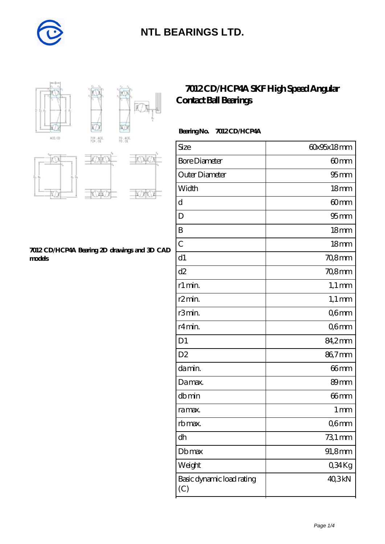



### **[7012 CD/HCP4A SKF High Speed Angular](https://diabetesfriends.net/skf-bearing/7012-cd-hcp4a.html) [Contact Ball Bearings](https://diabetesfriends.net/skf-bearing/7012-cd-hcp4a.html)**

#### **Bearing No. 7012 CD/HCP4A**

| Size                             | 60x95x18mm       |
|----------------------------------|------------------|
| <b>Bore Diameter</b>             | 60mm             |
| Outer Diameter                   | 95 <sub>mm</sub> |
| Width                            | 18 <sub>mm</sub> |
| d                                | 60mm             |
| D                                | 95 <sub>mm</sub> |
| B                                | 18mm             |
| $\overline{C}$                   | 18 <sub>mm</sub> |
| d1                               | 70,8mm           |
| d2                               | 70,8mm           |
| r1 min.                          | $1,1 \text{ mm}$ |
| r <sub>2</sub> min.              | $1,1 \text{ mm}$ |
| r3min.                           | Q6mm             |
| r4min.                           | Q6mm             |
| D <sub>1</sub>                   | 84,2mm           |
| D <sub>2</sub>                   | 86,7mm           |
| damin.                           | 66 <sub>mm</sub> |
| Damax.                           | 89 <sub>mm</sub> |
| dbmin                            | 66 <sub>mm</sub> |
| ra max.                          | 1 <sub>mm</sub>  |
| rb max.                          | Q6mm             |
| dh                               | 731 mm           |
| Dbmax                            | 91,8mm           |
| Weight                           | 034Kg            |
| Basic dynamic load rating<br>(C) | 40,3kN           |



#### **[7012 CD/HCP4A Bearing 2D drawings and 3D CAD](https://diabetesfriends.net/pic-590687.html) [models](https://diabetesfriends.net/pic-590687.html)**

W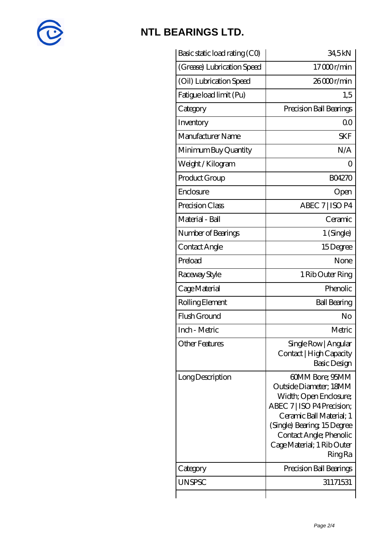

| Basic static load rating (CO) | 34,5kN                                                                                                                                                                                                                                |
|-------------------------------|---------------------------------------------------------------------------------------------------------------------------------------------------------------------------------------------------------------------------------------|
| (Grease) Lubrication Speed    | 17000r/min                                                                                                                                                                                                                            |
| (Oil) Lubrication Speed       | $2600$ r/min                                                                                                                                                                                                                          |
| Fatigue load limit (Pu)       | 1,5                                                                                                                                                                                                                                   |
| Category                      | Precision Ball Bearings                                                                                                                                                                                                               |
| Inventory                     | Q0                                                                                                                                                                                                                                    |
| Manufacturer Name             | <b>SKF</b>                                                                                                                                                                                                                            |
| Minimum Buy Quantity          | N/A                                                                                                                                                                                                                                   |
| Weight /Kilogram              | Ω                                                                                                                                                                                                                                     |
| Product Group                 | <b>BO4270</b>                                                                                                                                                                                                                         |
| Enclosure                     | Open                                                                                                                                                                                                                                  |
| Precision Class               | ABEC 7   ISO P4                                                                                                                                                                                                                       |
| Material - Ball               | Ceramic                                                                                                                                                                                                                               |
| Number of Bearings            | 1 (Single)                                                                                                                                                                                                                            |
| Contact Angle                 | 15Degree                                                                                                                                                                                                                              |
| Preload                       | None                                                                                                                                                                                                                                  |
| Raceway Style                 | 1 Rib Outer Ring                                                                                                                                                                                                                      |
| Cage Material                 | Phenolic                                                                                                                                                                                                                              |
| Rolling Element               | <b>Ball Bearing</b>                                                                                                                                                                                                                   |
| Flush Ground                  | No                                                                                                                                                                                                                                    |
| Inch - Metric                 | Metric                                                                                                                                                                                                                                |
| <b>Other Features</b>         | Single Row   Angular<br>Contact   High Capacity<br>Basic Design                                                                                                                                                                       |
| Long Description              | 60MM Bore; 95MM<br>Outside Diameter: 18MM<br>Width; Open Enclosure;<br>ABEC 7   ISO P4 Precision;<br>Ceramic Ball Material; 1<br>(Single) Bearing 15Degree<br>Contact Angle; Phenolic<br>Cage Material; 1 Rib Outer<br><b>Ring Ra</b> |
| Category                      | Precision Ball Bearings                                                                                                                                                                                                               |
| <b>UNSPSC</b>                 | 31171531                                                                                                                                                                                                                              |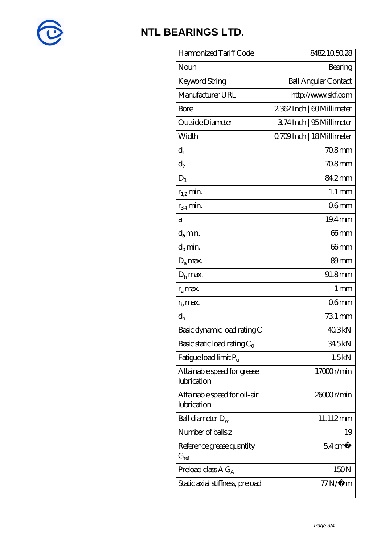

| Harmonized Tariff Code                      | 8482105028                  |
|---------------------------------------------|-----------------------------|
| Noun                                        | Bearing                     |
| Keyword String                              | <b>Ball Angular Contact</b> |
| Manufacturer URL                            | http://www.skf.com          |
| Bore                                        | 2362Inch   60Millimeter     |
| Outside Diameter                            | 374 Inch   95 Millimeter    |
| Width                                       | Q709Inch   18 Millimeter    |
| $d_1$                                       | $708$ mm                    |
| $\mathrm{d}_2$                              | 70.8mm                      |
| $D_1$                                       | 84.2mm                      |
| $r_{1,2}$ min.                              | $1.1 \,\mathrm{mm}$         |
| $r_{34}$ min.                               | 06 <sub>mm</sub>            |
| а                                           | 19.4mm                      |
| $d_a$ min.                                  | 66mm                        |
| $d_h$ min.                                  | 66 <sub>mm</sub>            |
| $D_a$ max.                                  | 89 <sub>mm</sub>            |
| $D_{\rm b}$ max.                            | 91.8mm                      |
| $r_a$ max.                                  | $1 \,\mathrm{mm}$           |
| $r_{\rm b}$ max.                            | 06 <sub>mm</sub>            |
| $d_n$                                       | $731 \,\mathrm{mm}$         |
| Basic dynamic load rating C                 | 40.3kN                      |
| Basic static load rating $C_0$              | 345kN                       |
| Fatigue load limit Pu                       | 1.5kN                       |
| Attainable speed for grease<br>lubrication  | 17000r/min                  |
| Attainable speed for oil-air<br>lubrication | 26000r/min                  |
| Ball diameter $D_w$                         | 11.112mm                    |
| Number of balls z                           | 19                          |
| Reference grease quantity<br>$G_{ref}$      | $54 \text{cm}^3$            |
| Preload class A $G_A$                       | 150N                        |
| Static axial stiffness, preload             | <i>77</i> Ν/μ m             |